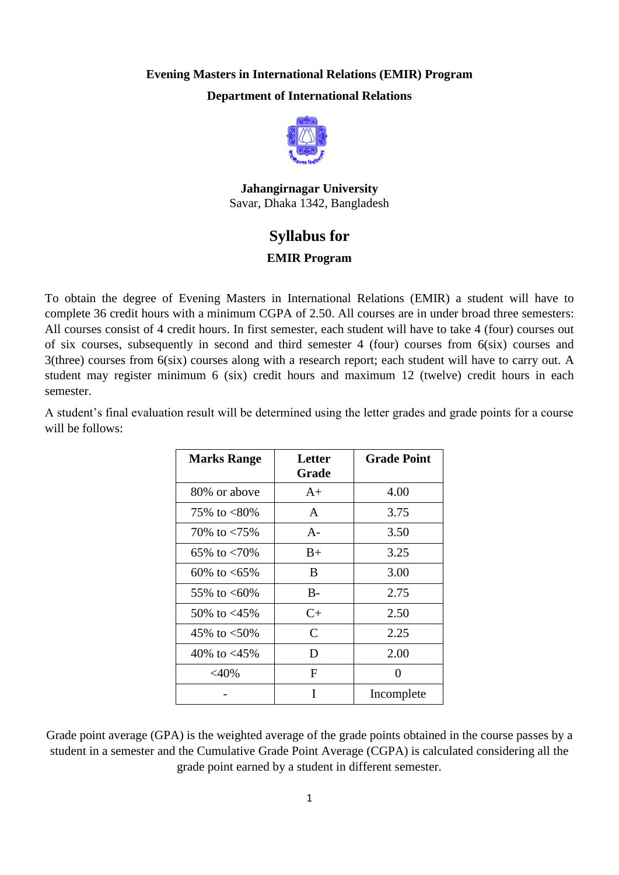## **Evening Masters in International Relations (EMIR) Program Department of International Relations**



**Jahangirnagar University** Savar, Dhaka 1342, Bangladesh

## **Syllabus for**

## **EMIR Program**

To obtain the degree of Evening Masters in International Relations (EMIR) a student will have to complete 36 credit hours with a minimum CGPA of 2.50. All courses are in under broad three semesters: All courses consist of 4 credit hours. In first semester, each student will have to take 4 (four) courses out of six courses, subsequently in second and third semester 4 (four) courses from 6(six) courses and 3(three) courses from 6(six) courses along with a research report; each student will have to carry out. A student may register minimum 6 (six) credit hours and maximum 12 (twelve) credit hours in each semester.

A student's final evaluation result will be determined using the letter grades and grade points for a course will be follows:

| <b>Marks Range</b>   | Letter<br>Grade | <b>Grade Point</b> |
|----------------------|-----------------|--------------------|
| 80% or above         | $A+$            | 4.00               |
| 75\% to $<80\%$      | A               | 3.75               |
| 70\% to $< 75\%$     | $A-$            | 3.50               |
| 65\% to $< 70\%$     | $B+$            | 3.25               |
| $60\%$ to $\lt 65\%$ | B               | 3.00               |
| 55\% to $<60\%$      | $B -$           | 2.75               |
| 50\% to $<45\%$      | $C+$            | 2.50               |
| 45\% to $<$ 50\%     | C               | 2.25               |
| 40% to $<$ 45%       | D               | 2.00               |
| $<$ 40%              | F               | 0                  |
|                      | T               | Incomplete         |

Grade point average (GPA) is the weighted average of the grade points obtained in the course passes by a student in a semester and the Cumulative Grade Point Average (CGPA) is calculated considering all the grade point earned by a student in different semester.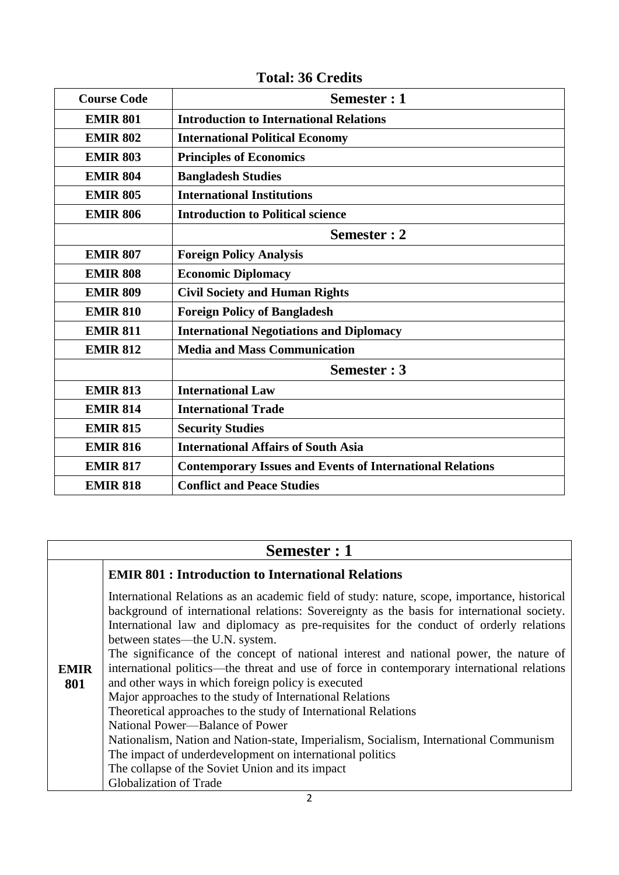| <b>Course Code</b> | Semester : 1                                                     |
|--------------------|------------------------------------------------------------------|
| <b>EMIR 801</b>    | <b>Introduction to International Relations</b>                   |
| <b>EMIR 802</b>    | <b>International Political Economy</b>                           |
| <b>EMIR 803</b>    | <b>Principles of Economics</b>                                   |
| <b>EMIR 804</b>    | <b>Bangladesh Studies</b>                                        |
| <b>EMIR 805</b>    | <b>International Institutions</b>                                |
| <b>EMIR 806</b>    | <b>Introduction to Political science</b>                         |
|                    | Semester : 2                                                     |
| <b>EMIR 807</b>    | <b>Foreign Policy Analysis</b>                                   |
| <b>EMIR 808</b>    | <b>Economic Diplomacy</b>                                        |
| <b>EMIR 809</b>    | <b>Civil Society and Human Rights</b>                            |
| <b>EMIR 810</b>    | <b>Foreign Policy of Bangladesh</b>                              |
| <b>EMIR 811</b>    | <b>International Negotiations and Diplomacy</b>                  |
| <b>EMIR 812</b>    | <b>Media and Mass Communication</b>                              |
|                    | Semester: 3                                                      |
| <b>EMIR 813</b>    | <b>International Law</b>                                         |
| <b>EMIR 814</b>    | <b>International Trade</b>                                       |
| <b>EMIR 815</b>    | <b>Security Studies</b>                                          |
| <b>EMIR 816</b>    | <b>International Affairs of South Asia</b>                       |
| <b>EMIR 817</b>    | <b>Contemporary Issues and Events of International Relations</b> |
| <b>EMIR 818</b>    | <b>Conflict and Peace Studies</b>                                |

# **Total: 36 Credits**

# **Semester : 1**

|             | <b>EMIR 801: Introduction to International Relations</b>                                                                                                                                   |  |
|-------------|--------------------------------------------------------------------------------------------------------------------------------------------------------------------------------------------|--|
|             | International Relations as an academic field of study: nature, scope, importance, historical<br>background of international relations: Sovereignty as the basis for international society. |  |
|             | International law and diplomacy as pre-requisites for the conduct of orderly relations                                                                                                     |  |
|             | between states—the U.N. system.                                                                                                                                                            |  |
|             | The significance of the concept of national interest and national power, the nature of                                                                                                     |  |
| <b>EMIR</b> | international politics—the threat and use of force in contemporary international relations                                                                                                 |  |
| 801         | and other ways in which foreign policy is executed                                                                                                                                         |  |
|             | Major approaches to the study of International Relations                                                                                                                                   |  |
|             | Theoretical approaches to the study of International Relations                                                                                                                             |  |
|             | National Power—Balance of Power                                                                                                                                                            |  |
|             | Nationalism, Nation and Nation-state, Imperialism, Socialism, International Communism                                                                                                      |  |
|             | The impact of underdevelopment on international politics                                                                                                                                   |  |
|             | The collapse of the Soviet Union and its impact                                                                                                                                            |  |
|             | <b>Globalization of Trade</b>                                                                                                                                                              |  |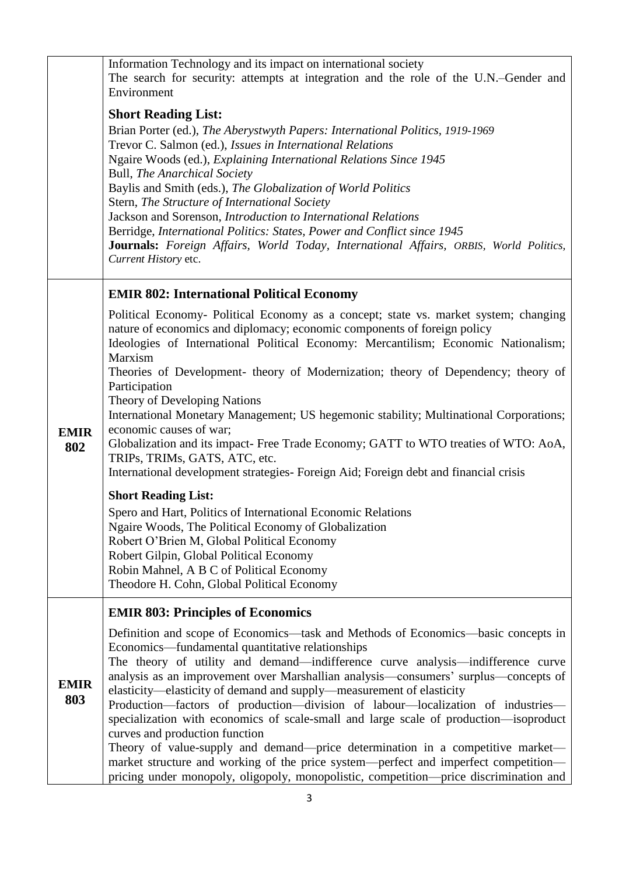|             | Information Technology and its impact on international society                                                                                                               |
|-------------|------------------------------------------------------------------------------------------------------------------------------------------------------------------------------|
|             | The search for security: attempts at integration and the role of the U.N.–Gender and                                                                                         |
|             | Environment                                                                                                                                                                  |
|             | <b>Short Reading List:</b>                                                                                                                                                   |
|             | Brian Porter (ed.), The Aberystwyth Papers: International Politics, 1919-1969                                                                                                |
|             | Trevor C. Salmon (ed.), Issues in International Relations                                                                                                                    |
|             | Ngaire Woods (ed.), Explaining International Relations Since 1945<br><b>Bull, The Anarchical Society</b>                                                                     |
|             | Baylis and Smith (eds.), The Globalization of World Politics                                                                                                                 |
|             | Stern, The Structure of International Society                                                                                                                                |
|             | Jackson and Sorenson, Introduction to International Relations                                                                                                                |
|             | Berridge, International Politics: States, Power and Conflict since 1945                                                                                                      |
|             | Journals: Foreign Affairs, World Today, International Affairs, ORBIS, World Politics,                                                                                        |
|             | Current History etc.                                                                                                                                                         |
|             | <b>EMIR 802: International Political Economy</b>                                                                                                                             |
|             | Political Economy- Political Economy as a concept; state vs. market system; changing                                                                                         |
|             | nature of economics and diplomacy; economic components of foreign policy                                                                                                     |
|             | Ideologies of International Political Economy: Mercantilism; Economic Nationalism;                                                                                           |
|             | Marxism                                                                                                                                                                      |
|             | Theories of Development- theory of Modernization; theory of Dependency; theory of<br>Participation                                                                           |
|             | Theory of Developing Nations                                                                                                                                                 |
|             | International Monetary Management; US hegemonic stability; Multinational Corporations;                                                                                       |
| <b>EMIR</b> | economic causes of war;                                                                                                                                                      |
| 802         | Globalization and its impact- Free Trade Economy; GATT to WTO treaties of WTO: AoA,                                                                                          |
|             | TRIPs, TRIMs, GATS, ATC, etc.<br>International development strategies- Foreign Aid; Foreign debt and financial crisis                                                        |
|             |                                                                                                                                                                              |
|             | <b>Short Reading List:</b>                                                                                                                                                   |
|             | Spero and Hart, Politics of International Economic Relations<br>Ngaire Woods, The Political Economy of Globalization                                                         |
|             | Robert O'Brien M, Global Political Economy                                                                                                                                   |
|             | Robert Gilpin, Global Political Economy                                                                                                                                      |
|             | Robin Mahnel, A B C of Political Economy                                                                                                                                     |
|             | Theodore H. Cohn, Global Political Economy                                                                                                                                   |
|             | <b>EMIR 803: Principles of Economics</b>                                                                                                                                     |
|             | Definition and scope of Economics—task and Methods of Economics—basic concepts in                                                                                            |
|             | Economics—fundamental quantitative relationships                                                                                                                             |
|             | The theory of utility and demand—indifference curve analysis—indifference curve<br>analysis as an improvement over Marshallian analysis—consumers' surplus—concepts of       |
| <b>EMIR</b> | elasticity—elasticity of demand and supply—measurement of elasticity                                                                                                         |
| 803         | Production-factors of production-division of labour-localization of industries-                                                                                              |
|             | specialization with economics of scale-small and large scale of production—isoproduct                                                                                        |
|             | curves and production function                                                                                                                                               |
|             | Theory of value-supply and demand—price determination in a competitive market—                                                                                               |
|             | market structure and working of the price system—perfect and imperfect competition—<br>pricing under monopoly, oligopoly, monopolistic, competition—price discrimination and |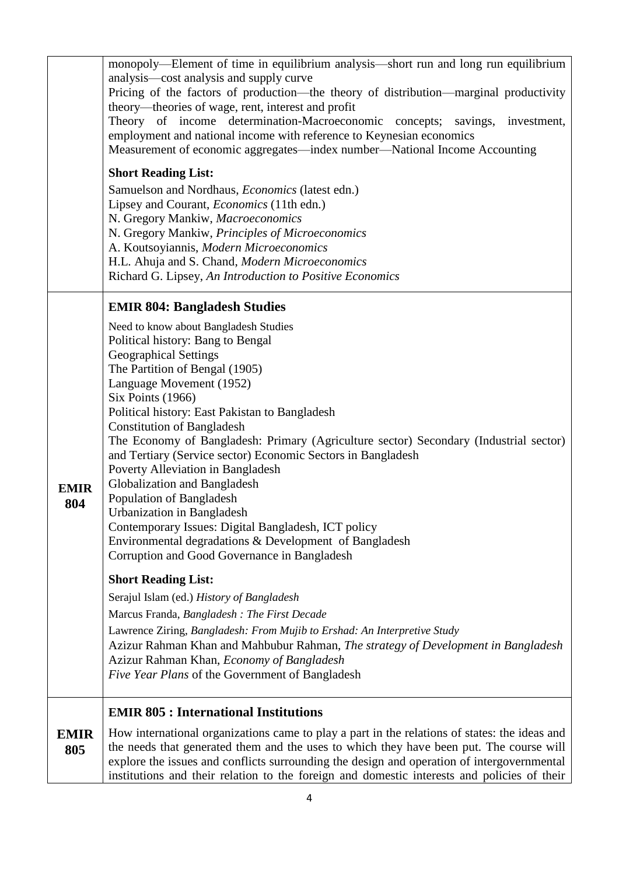|             | monopoly-Element of time in equilibrium analysis-short run and long run equilibrium           |
|-------------|-----------------------------------------------------------------------------------------------|
|             | analysis—cost analysis and supply curve                                                       |
|             | Pricing of the factors of production-the theory of distribution-marginal productivity         |
|             | theory—theories of wage, rent, interest and profit                                            |
|             | Theory of income determination-Macroeconomic concepts;<br>savings, investment,                |
|             | employment and national income with reference to Keynesian economics                          |
|             | Measurement of economic aggregates—index number—National Income Accounting                    |
|             | <b>Short Reading List:</b>                                                                    |
|             | Samuelson and Nordhaus, Economics (latest edn.)                                               |
|             | Lipsey and Courant, <i>Economics</i> (11th edn.)                                              |
|             | N. Gregory Mankiw, Macroeconomics                                                             |
|             | N. Gregory Mankiw, Principles of Microeconomics                                               |
|             | A. Koutsoyiannis, Modern Microeconomics                                                       |
|             | H.L. Ahuja and S. Chand, Modern Microeconomics                                                |
|             | Richard G. Lipsey, An Introduction to Positive Economics                                      |
|             | <b>EMIR 804: Bangladesh Studies</b>                                                           |
|             | Need to know about Bangladesh Studies                                                         |
|             | Political history: Bang to Bengal                                                             |
|             | <b>Geographical Settings</b>                                                                  |
|             | The Partition of Bengal (1905)                                                                |
|             | Language Movement (1952)                                                                      |
|             | Six Points (1966)                                                                             |
|             | Political history: East Pakistan to Bangladesh<br><b>Constitution of Bangladesh</b>           |
|             | The Economy of Bangladesh: Primary (Agriculture sector) Secondary (Industrial sector)         |
|             | and Tertiary (Service sector) Economic Sectors in Bangladesh                                  |
|             | Poverty Alleviation in Bangladesh                                                             |
| <b>EMIR</b> | Globalization and Bangladesh                                                                  |
| 804         | Population of Bangladesh                                                                      |
|             | Urbanization in Bangladesh                                                                    |
|             | Contemporary Issues: Digital Bangladesh, ICT policy                                           |
|             | Environmental degradations & Development of Bangladesh                                        |
|             | Corruption and Good Governance in Bangladesh                                                  |
|             | <b>Short Reading List:</b>                                                                    |
|             | Serajul Islam (ed.) History of Bangladesh                                                     |
|             | Marcus Franda, Bangladesh : The First Decade                                                  |
|             | Lawrence Ziring, Bangladesh: From Mujib to Ershad: An Interpretive Study                      |
|             | Azizur Rahman Khan and Mahbubur Rahman, The strategy of Development in Bangladesh             |
|             | Azizur Rahman Khan, Economy of Bangladesh<br>Five Year Plans of the Government of Bangladesh  |
|             |                                                                                               |
|             | <b>EMIR 805 : International Institutions</b>                                                  |
| <b>EMIR</b> | How international organizations came to play a part in the relations of states: the ideas and |
| 805         | the needs that generated them and the uses to which they have been put. The course will       |
|             | explore the issues and conflicts surrounding the design and operation of intergovernmental    |
|             | institutions and their relation to the foreign and domestic interests and policies of their   |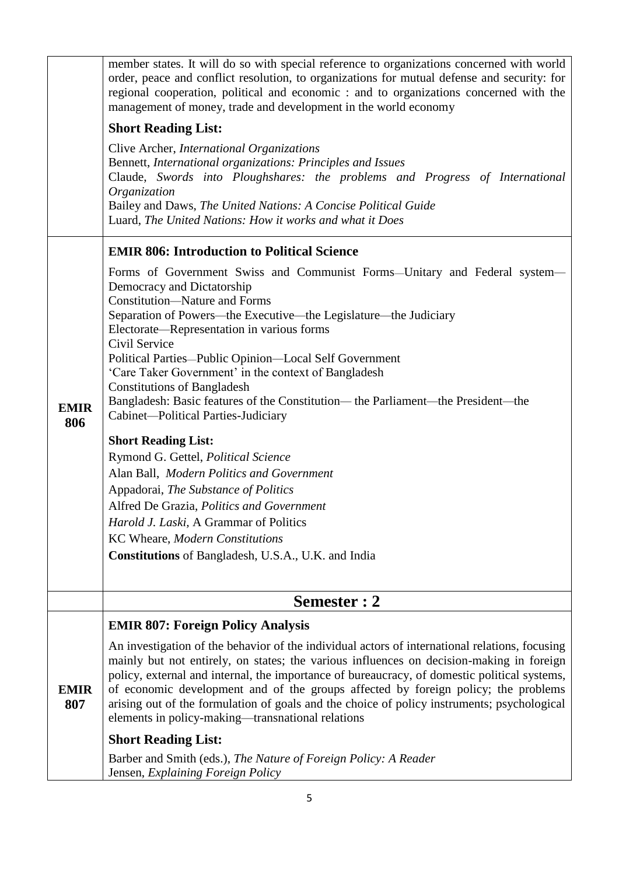|                    | member states. It will do so with special reference to organizations concerned with world<br>order, peace and conflict resolution, to organizations for mutual defense and security: for<br>regional cooperation, political and economic : and to organizations concerned with the                                                                                                                                                                                                                                                                                                                                                                                                                                                                                                                                                                                                                                      |  |
|--------------------|-------------------------------------------------------------------------------------------------------------------------------------------------------------------------------------------------------------------------------------------------------------------------------------------------------------------------------------------------------------------------------------------------------------------------------------------------------------------------------------------------------------------------------------------------------------------------------------------------------------------------------------------------------------------------------------------------------------------------------------------------------------------------------------------------------------------------------------------------------------------------------------------------------------------------|--|
|                    | management of money, trade and development in the world economy                                                                                                                                                                                                                                                                                                                                                                                                                                                                                                                                                                                                                                                                                                                                                                                                                                                         |  |
|                    | <b>Short Reading List:</b>                                                                                                                                                                                                                                                                                                                                                                                                                                                                                                                                                                                                                                                                                                                                                                                                                                                                                              |  |
|                    | Clive Archer, International Organizations<br>Bennett, International organizations: Principles and Issues<br>Claude, Swords into Ploughshares: the problems and Progress of International<br>Organization<br>Bailey and Daws, The United Nations: A Concise Political Guide<br>Luard, The United Nations: How it works and what it Does                                                                                                                                                                                                                                                                                                                                                                                                                                                                                                                                                                                  |  |
|                    | <b>EMIR 806: Introduction to Political Science</b>                                                                                                                                                                                                                                                                                                                                                                                                                                                                                                                                                                                                                                                                                                                                                                                                                                                                      |  |
| <b>EMIR</b><br>806 | Forms of Government Swiss and Communist Forms—Unitary and Federal system—<br>Democracy and Dictatorship<br><b>Constitution—Nature and Forms</b><br>Separation of Powers—the Executive—the Legislature—the Judiciary<br>Electorate—Representation in various forms<br>Civil Service<br>Political Parties-Public Opinion-Local Self Government<br>'Care Taker Government' in the context of Bangladesh<br><b>Constitutions of Bangladesh</b><br>Bangladesh: Basic features of the Constitution— the Parliament—the President—the<br>Cabinet—Political Parties-Judiciary<br><b>Short Reading List:</b><br>Rymond G. Gettel, Political Science<br>Alan Ball, Modern Politics and Government<br>Appadorai, The Substance of Politics<br>Alfred De Grazia, Politics and Government<br>Harold J. Laski, A Grammar of Politics<br>KC Wheare, Modern Constitutions<br><b>Constitutions</b> of Bangladesh, U.S.A., U.K. and India |  |
|                    | Semester : 2                                                                                                                                                                                                                                                                                                                                                                                                                                                                                                                                                                                                                                                                                                                                                                                                                                                                                                            |  |
|                    | <b>EMIR 807: Foreign Policy Analysis</b>                                                                                                                                                                                                                                                                                                                                                                                                                                                                                                                                                                                                                                                                                                                                                                                                                                                                                |  |
| <b>EMIR</b><br>807 | An investigation of the behavior of the individual actors of international relations, focusing<br>mainly but not entirely, on states; the various influences on decision-making in foreign<br>policy, external and internal, the importance of bureaucracy, of domestic political systems,<br>of economic development and of the groups affected by foreign policy; the problems<br>arising out of the formulation of goals and the choice of policy instruments; psychological<br>elements in policy-making—transnational relations                                                                                                                                                                                                                                                                                                                                                                                    |  |
|                    | <b>Short Reading List:</b>                                                                                                                                                                                                                                                                                                                                                                                                                                                                                                                                                                                                                                                                                                                                                                                                                                                                                              |  |
|                    | Barber and Smith (eds.), The Nature of Foreign Policy: A Reader<br>Jensen, Explaining Foreign Policy                                                                                                                                                                                                                                                                                                                                                                                                                                                                                                                                                                                                                                                                                                                                                                                                                    |  |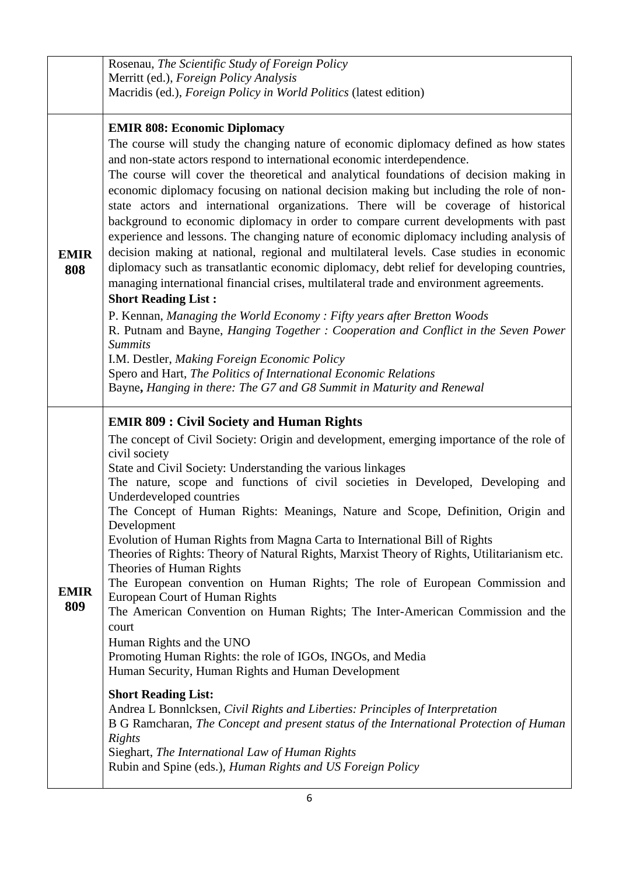|                    | Rosenau, The Scientific Study of Foreign Policy                                                                                                                                                                                                                                                                                                                                                                                                                                                                                                                                                                                                                                                                                                                                                                                                                                                                                                                                                                                                                                                                                                                                                                                                                                                                                                                     |
|--------------------|---------------------------------------------------------------------------------------------------------------------------------------------------------------------------------------------------------------------------------------------------------------------------------------------------------------------------------------------------------------------------------------------------------------------------------------------------------------------------------------------------------------------------------------------------------------------------------------------------------------------------------------------------------------------------------------------------------------------------------------------------------------------------------------------------------------------------------------------------------------------------------------------------------------------------------------------------------------------------------------------------------------------------------------------------------------------------------------------------------------------------------------------------------------------------------------------------------------------------------------------------------------------------------------------------------------------------------------------------------------------|
|                    | Merritt (ed.), Foreign Policy Analysis                                                                                                                                                                                                                                                                                                                                                                                                                                                                                                                                                                                                                                                                                                                                                                                                                                                                                                                                                                                                                                                                                                                                                                                                                                                                                                                              |
|                    | Macridis (ed.), Foreign Policy in World Politics (latest edition)                                                                                                                                                                                                                                                                                                                                                                                                                                                                                                                                                                                                                                                                                                                                                                                                                                                                                                                                                                                                                                                                                                                                                                                                                                                                                                   |
| <b>EMIR</b><br>808 | <b>EMIR 808: Economic Diplomacy</b><br>The course will study the changing nature of economic diplomacy defined as how states<br>and non-state actors respond to international economic interdependence.<br>The course will cover the theoretical and analytical foundations of decision making in<br>economic diplomacy focusing on national decision making but including the role of non-<br>state actors and international organizations. There will be coverage of historical<br>background to economic diplomacy in order to compare current developments with past<br>experience and lessons. The changing nature of economic diplomacy including analysis of<br>decision making at national, regional and multilateral levels. Case studies in economic<br>diplomacy such as transatlantic economic diplomacy, debt relief for developing countries,<br>managing international financial crises, multilateral trade and environment agreements.<br><b>Short Reading List:</b><br>P. Kennan, Managing the World Economy: Fifty years after Bretton Woods<br>R. Putnam and Bayne, Hanging Together: Cooperation and Conflict in the Seven Power<br><b>Summits</b><br>I.M. Destler, Making Foreign Economic Policy<br>Spero and Hart, The Politics of International Economic Relations<br>Bayne, Hanging in there: The G7 and G8 Summit in Maturity and Renewal |
| <b>EMIR</b><br>809 | <b>EMIR 809: Civil Society and Human Rights</b><br>The concept of Civil Society: Origin and development, emerging importance of the role of<br>civil society<br>State and Civil Society: Understanding the various linkages<br>The nature, scope and functions of civil societies in Developed, Developing and<br>Underdeveloped countries<br>The Concept of Human Rights: Meanings, Nature and Scope, Definition, Origin and<br>Development<br>Evolution of Human Rights from Magna Carta to International Bill of Rights<br>Theories of Rights: Theory of Natural Rights, Marxist Theory of Rights, Utilitarianism etc.<br>Theories of Human Rights<br>The European convention on Human Rights; The role of European Commission and<br>European Court of Human Rights<br>The American Convention on Human Rights; The Inter-American Commission and the<br>court<br>Human Rights and the UNO<br>Promoting Human Rights: the role of IGOs, INGOs, and Media<br>Human Security, Human Rights and Human Development<br><b>Short Reading List:</b><br>Andrea L Bonnlcksen, Civil Rights and Liberties: Principles of Interpretation<br>B G Ramcharan, The Concept and present status of the International Protection of Human<br>Rights<br>Sieghart, The International Law of Human Rights<br>Rubin and Spine (eds.), Human Rights and US Foreign Policy              |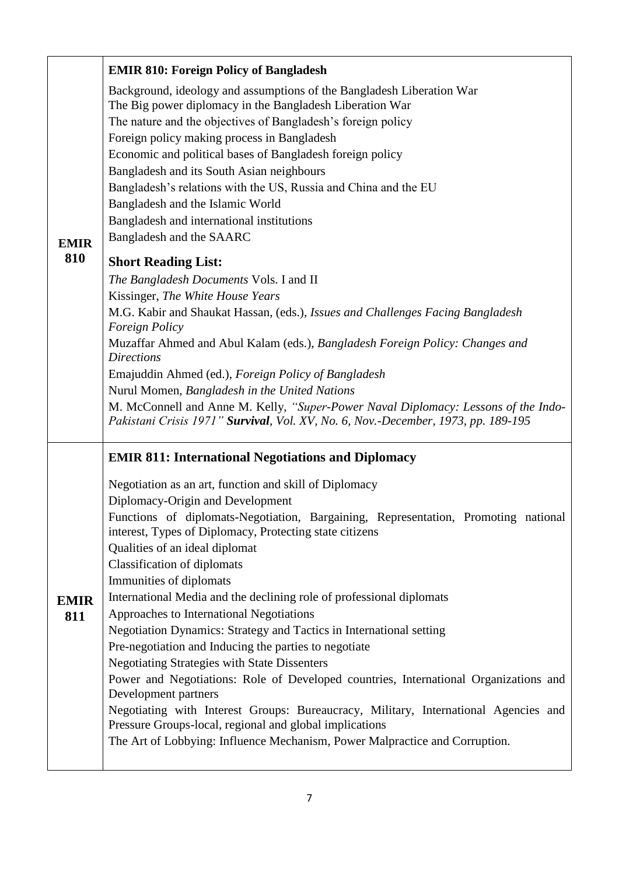|                    | <b>EMIR 810: Foreign Policy of Bangladesh</b>                                                                                                 |
|--------------------|-----------------------------------------------------------------------------------------------------------------------------------------------|
|                    | Background, ideology and assumptions of the Bangladesh Liberation War                                                                         |
|                    | The Big power diplomacy in the Bangladesh Liberation War<br>The nature and the objectives of Bangladesh's foreign policy                      |
|                    | Foreign policy making process in Bangladesh                                                                                                   |
|                    | Economic and political bases of Bangladesh foreign policy                                                                                     |
|                    | Bangladesh and its South Asian neighbours                                                                                                     |
|                    | Bangladesh's relations with the US, Russia and China and the EU                                                                               |
|                    | Bangladesh and the Islamic World<br>Bangladesh and international institutions                                                                 |
| <b>EMIR</b>        | Bangladesh and the SAARC                                                                                                                      |
| 810                | <b>Short Reading List:</b>                                                                                                                    |
|                    | The Bangladesh Documents Vols. I and II                                                                                                       |
|                    | Kissinger, The White House Years                                                                                                              |
|                    | M.G. Kabir and Shaukat Hassan, (eds.), Issues and Challenges Facing Bangladesh<br><b>Foreign Policy</b>                                       |
|                    | Muzaffar Ahmed and Abul Kalam (eds.), Bangladesh Foreign Policy: Changes and                                                                  |
|                    | <b>Directions</b>                                                                                                                             |
|                    | Emajuddin Ahmed (ed.), Foreign Policy of Bangladesh                                                                                           |
|                    | Nurul Momen, Bangladesh in the United Nations<br>M. McConnell and Anne M. Kelly, "Super-Power Naval Diplomacy: Lessons of the Indo-           |
|                    | Pakistani Crisis 1971" Survival, Vol. XV, No. 6, Nov.-December, 1973, pp. 189-195                                                             |
|                    | <b>EMIR 811: International Negotiations and Diplomacy</b>                                                                                     |
|                    | Negotiation as an art, function and skill of Diplomacy                                                                                        |
|                    | Diplomacy-Origin and Development                                                                                                              |
|                    | Functions of diplomats-Negotiation, Bargaining, Representation, Promoting national<br>interest, Types of Diplomacy, Protecting state citizens |
|                    | Qualities of an ideal diplomat                                                                                                                |
|                    | <b>Classification of diplomats</b>                                                                                                            |
|                    | Immunities of diplomats<br>International Media and the declining role of professional diplomats                                               |
| <b>EMIR</b><br>811 | Approaches to International Negotiations                                                                                                      |
|                    | Negotiation Dynamics: Strategy and Tactics in International setting                                                                           |
|                    | Pre-negotiation and Inducing the parties to negotiate                                                                                         |
|                    | <b>Negotiating Strategies with State Dissenters</b>                                                                                           |
|                    | Power and Negotiations: Role of Developed countries, International Organizations and<br>Development partners                                  |
|                    | Negotiating with Interest Groups: Bureaucracy, Military, International Agencies and                                                           |
|                    | Pressure Groups-local, regional and global implications<br>The Art of Lobbying: Influence Mechanism, Power Malpractice and Corruption.        |
|                    |                                                                                                                                               |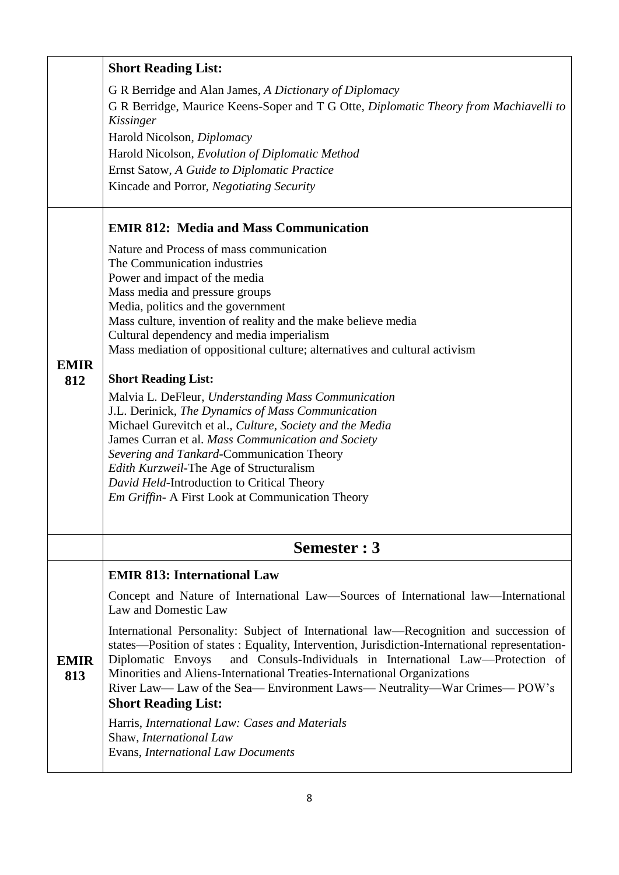|                    | <b>Short Reading List:</b>                                                                                                                                                                                                               |  |
|--------------------|------------------------------------------------------------------------------------------------------------------------------------------------------------------------------------------------------------------------------------------|--|
|                    | G R Berridge and Alan James, A Dictionary of Diplomacy                                                                                                                                                                                   |  |
|                    | G R Berridge, Maurice Keens-Soper and T G Otte, Diplomatic Theory from Machiavelli to<br>Kissinger                                                                                                                                       |  |
|                    | Harold Nicolson, Diplomacy                                                                                                                                                                                                               |  |
|                    | Harold Nicolson, Evolution of Diplomatic Method                                                                                                                                                                                          |  |
|                    | Ernst Satow, A Guide to Diplomatic Practice                                                                                                                                                                                              |  |
|                    | Kincade and Porror, Negotiating Security                                                                                                                                                                                                 |  |
|                    | <b>EMIR 812: Media and Mass Communication</b>                                                                                                                                                                                            |  |
|                    | Nature and Process of mass communication                                                                                                                                                                                                 |  |
|                    | The Communication industries                                                                                                                                                                                                             |  |
|                    | Power and impact of the media                                                                                                                                                                                                            |  |
|                    | Mass media and pressure groups                                                                                                                                                                                                           |  |
|                    | Media, politics and the government                                                                                                                                                                                                       |  |
|                    | Mass culture, invention of reality and the make believe media                                                                                                                                                                            |  |
|                    | Cultural dependency and media imperialism                                                                                                                                                                                                |  |
|                    | Mass mediation of oppositional culture; alternatives and cultural activism                                                                                                                                                               |  |
| <b>EMIR</b><br>812 | <b>Short Reading List:</b>                                                                                                                                                                                                               |  |
|                    | Malvia L. DeFleur, Understanding Mass Communication                                                                                                                                                                                      |  |
|                    | J.L. Derinick, The Dynamics of Mass Communication                                                                                                                                                                                        |  |
|                    | Michael Gurevitch et al., Culture, Society and the Media                                                                                                                                                                                 |  |
|                    | James Curran et al. Mass Communication and Society                                                                                                                                                                                       |  |
|                    | Severing and Tankard-Communication Theory                                                                                                                                                                                                |  |
|                    | Edith Kurzweil-The Age of Structuralism<br>David Held-Introduction to Critical Theory                                                                                                                                                    |  |
|                    | Em Griffin- A First Look at Communication Theory                                                                                                                                                                                         |  |
|                    |                                                                                                                                                                                                                                          |  |
|                    | Semester: 3                                                                                                                                                                                                                              |  |
|                    | <b>EMIR 813: International Law</b>                                                                                                                                                                                                       |  |
|                    | Concept and Nature of International Law—Sources of International law—International<br>Law and Domestic Law                                                                                                                               |  |
|                    | International Personality: Subject of International law—Recognition and succession of<br>states—Position of states: Equality, Intervention, Jurisdiction-International representation-                                                   |  |
| <b>EMIR</b><br>813 | and Consuls-Individuals in International Law—Protection of<br>Diplomatic Envoys<br>Minorities and Aliens-International Treaties-International Organizations<br>River Law— Law of the Sea— Environment Laws— Neutrality—War Crimes— POW's |  |
|                    | <b>Short Reading List:</b>                                                                                                                                                                                                               |  |
|                    | Harris, International Law: Cases and Materials                                                                                                                                                                                           |  |
|                    | Shaw, International Law                                                                                                                                                                                                                  |  |
|                    | Evans, International Law Documents                                                                                                                                                                                                       |  |
|                    |                                                                                                                                                                                                                                          |  |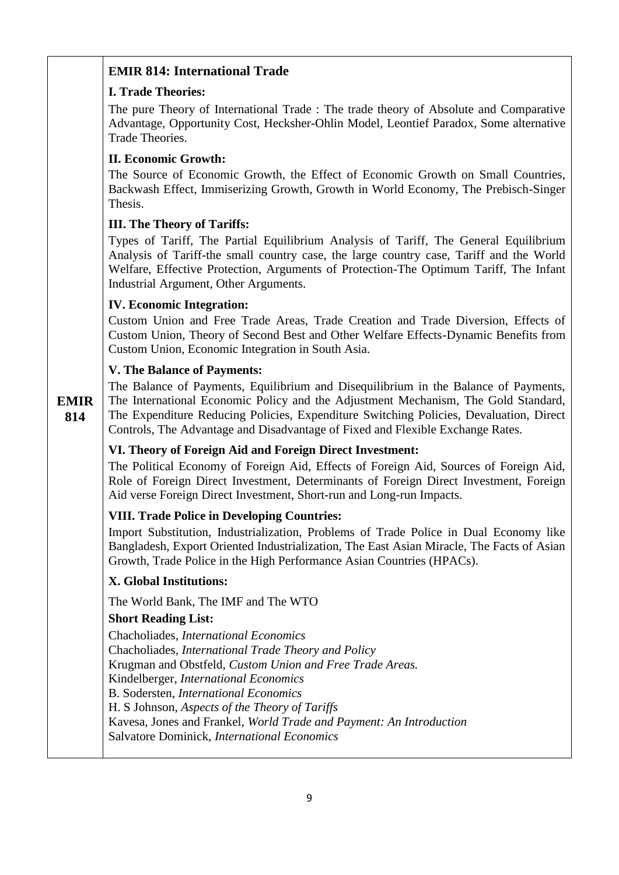### **EMIR 814: International Trade**

#### **I. Trade Theories:**

The pure Theory of International Trade : The trade theory of Absolute and Comparative Advantage, Opportunity Cost, Hecksher-Ohlin Model, Leontief Paradox, Some alternative Trade Theories.

### **II. Economic Growth:**

The Source of Economic Growth, the Effect of Economic Growth on Small Countries, Backwash Effect, Immiserizing Growth, Growth in World Economy, The Prebisch-Singer Thesis.

#### **III. The Theory of Tariffs:**

Types of Tariff, The Partial Equilibrium Analysis of Tariff, The General Equilibrium Analysis of Tariff-the small country case, the large country case, Tariff and the World Welfare, Effective Protection, Arguments of Protection-The Optimum Tariff, The Infant Industrial Argument, Other Arguments.

#### **IV. Economic Integration:**

Custom Union and Free Trade Areas, Trade Creation and Trade Diversion, Effects of Custom Union, Theory of Second Best and Other Welfare Effects-Dynamic Benefits from Custom Union, Economic Integration in South Asia.

#### **V. The Balance of Payments:**

**EMIR 814** The Balance of Payments, Equilibrium and Disequilibrium in the Balance of Payments, The International Economic Policy and the Adjustment Mechanism, The Gold Standard, The Expenditure Reducing Policies, Expenditure Switching Policies, Devaluation, Direct Controls, The Advantage and Disadvantage of Fixed and Flexible Exchange Rates.

### **VI. Theory of Foreign Aid and Foreign Direct Investment:**

The Political Economy of Foreign Aid, Effects of Foreign Aid, Sources of Foreign Aid, Role of Foreign Direct Investment, Determinants of Foreign Direct Investment, Foreign Aid verse Foreign Direct Investment, Short-run and Long-run Impacts.

### **VIII. Trade Police in Developing Countries:**

Import Substitution, Industrialization, Problems of Trade Police in Dual Economy like Bangladesh, Export Oriented Industrialization, The East Asian Miracle, The Facts of Asian Growth, Trade Police in the High Performance Asian Countries (HPACs).

#### **X. Global Institutions:**

The World Bank, The IMF and The WTO

#### **Short Reading List:**

Chacholiades, *International Economics* Chacholiades*, International Trade Theory and Policy* Krugman and Obstfeld, *Custom Union and Free Trade Areas.* Kindelberger, *International Economics* B. Sodersten, *International Economics*  H. S Johnson, *Aspects of the Theory of Tariffs* Kavesa, Jones and Frankel, *World Trade and Payment: An Introduction* Salvatore Dominick, *International Economics*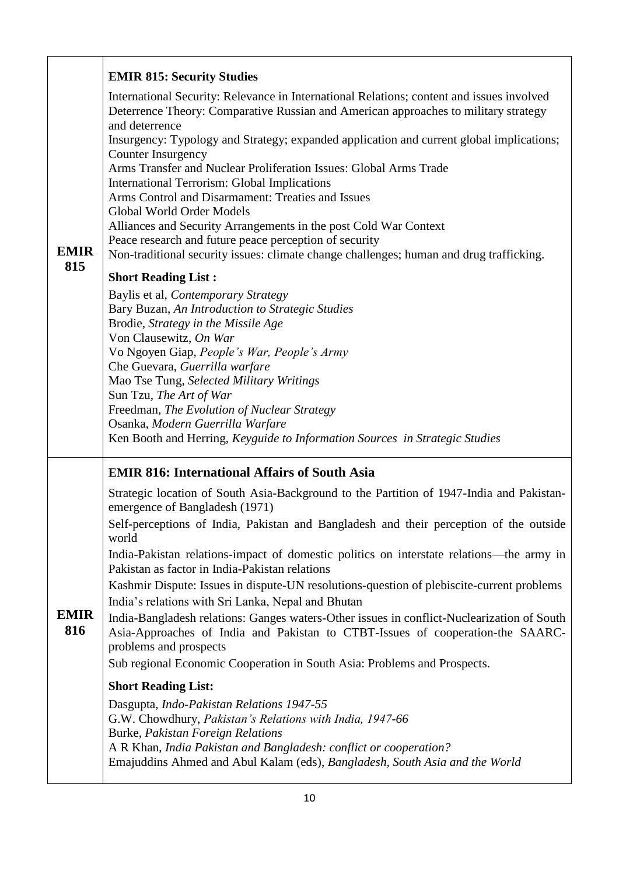|                    | <b>EMIR 815: Security Studies</b>                                                                                                                                                                                                                                                                                                                                                                                                                                                                                                                                                                                                                                                                                                                    |
|--------------------|------------------------------------------------------------------------------------------------------------------------------------------------------------------------------------------------------------------------------------------------------------------------------------------------------------------------------------------------------------------------------------------------------------------------------------------------------------------------------------------------------------------------------------------------------------------------------------------------------------------------------------------------------------------------------------------------------------------------------------------------------|
| <b>EMIR</b>        | International Security: Relevance in International Relations; content and issues involved<br>Deterrence Theory: Comparative Russian and American approaches to military strategy<br>and deterrence<br>Insurgency: Typology and Strategy; expanded application and current global implications;<br>Counter Insurgency<br>Arms Transfer and Nuclear Proliferation Issues: Global Arms Trade<br>International Terrorism: Global Implications<br>Arms Control and Disarmament: Treaties and Issues<br>Global World Order Models<br>Alliances and Security Arrangements in the post Cold War Context<br>Peace research and future peace perception of security<br>Non-traditional security issues: climate change challenges; human and drug trafficking. |
| 815                | <b>Short Reading List:</b>                                                                                                                                                                                                                                                                                                                                                                                                                                                                                                                                                                                                                                                                                                                           |
|                    | Baylis et al, Contemporary Strategy<br>Bary Buzan, An Introduction to Strategic Studies<br>Brodie, Strategy in the Missile Age<br>Von Clausewitz, On War<br>Vo Ngoyen Giap, People's War, People's Army<br>Che Guevara, Guerrilla warfare<br>Mao Tse Tung, Selected Military Writings<br>Sun Tzu, The Art of War<br>Freedman, The Evolution of Nuclear Strategy<br>Osanka, Modern Guerrilla Warfare<br>Ken Booth and Herring, Keyguide to Information Sources in Strategic Studies                                                                                                                                                                                                                                                                   |
|                    | <b>EMIR 816: International Affairs of South Asia</b>                                                                                                                                                                                                                                                                                                                                                                                                                                                                                                                                                                                                                                                                                                 |
|                    | Strategic location of South Asia-Background to the Partition of 1947-India and Pakistan-<br>emergence of Bangladesh (1971)                                                                                                                                                                                                                                                                                                                                                                                                                                                                                                                                                                                                                           |
|                    | Self-perceptions of India, Pakistan and Bangladesh and their perception of the outside<br>world                                                                                                                                                                                                                                                                                                                                                                                                                                                                                                                                                                                                                                                      |
|                    | India-Pakistan relations-impact of domestic politics on interstate relations—the army in<br>Pakistan as factor in India-Pakistan relations                                                                                                                                                                                                                                                                                                                                                                                                                                                                                                                                                                                                           |
|                    | Kashmir Dispute: Issues in dispute-UN resolutions-question of plebiscite-current problems                                                                                                                                                                                                                                                                                                                                                                                                                                                                                                                                                                                                                                                            |
| <b>EMIR</b><br>816 | India's relations with Sri Lanka, Nepal and Bhutan<br>India-Bangladesh relations: Ganges waters-Other issues in conflict-Nuclearization of South<br>Asia-Approaches of India and Pakistan to CTBT-Issues of cooperation-the SAARC-<br>problems and prospects<br>Sub regional Economic Cooperation in South Asia: Problems and Prospects.                                                                                                                                                                                                                                                                                                                                                                                                             |
|                    | <b>Short Reading List:</b>                                                                                                                                                                                                                                                                                                                                                                                                                                                                                                                                                                                                                                                                                                                           |
|                    | Dasgupta, Indo-Pakistan Relations 1947-55<br>G.W. Chowdhury, Pakistan's Relations with India, 1947-66<br>Burke, Pakistan Foreign Relations<br>A R Khan, India Pakistan and Bangladesh: conflict or cooperation?<br>Emajuddins Ahmed and Abul Kalam (eds), Bangladesh, South Asia and the World                                                                                                                                                                                                                                                                                                                                                                                                                                                       |